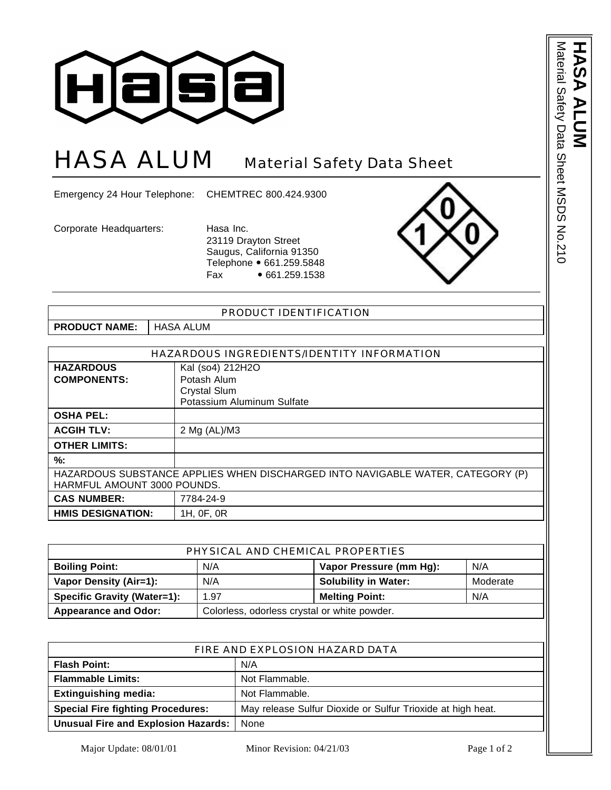

## HASA ALUM Material Safety Data Sheet

Emergency 24 Hour Telephone: CHEMTREC 800.424.9300

Corporate Headquarters: Hasa Inc.

23119 Drayton Street Saugus, California 91350 Telephone • 661.259.5848 Fax • 661.259.1538



Material Safety Data Sheet MSDS No.210

Material Safety Data Sheet MSDS No.210

**HASA ALUM**

D

| PRODUCT IDENTIFICATION                                                         |                            |  |
|--------------------------------------------------------------------------------|----------------------------|--|
| <b>PRODUCT NAME:</b>                                                           | <b>HASA ALUM</b>           |  |
|                                                                                |                            |  |
| HAZARDOUS INGREDIENTS/IDENTITY INFORMATION                                     |                            |  |
| <b>HAZARDOUS</b>                                                               | Kal (so4) 212H2O           |  |
| <b>COMPONENTS:</b>                                                             | Potash Alum                |  |
|                                                                                | <b>Crystal Slum</b>        |  |
|                                                                                | Potassium Aluminum Sulfate |  |
| <b>OSHA PEL:</b>                                                               |                            |  |
| <b>ACGIH TLV:</b>                                                              | 2 Mg (AL)/M3               |  |
| <b>OTHER LIMITS:</b>                                                           |                            |  |
| %:                                                                             |                            |  |
| HAZARDOUS SUBSTANCE APPLIES WHEN DISCHARGED INTO NAVIGABLE WATER, CATEGORY (P) |                            |  |
| HARMFUL AMOUNT 3000 POUNDS.                                                    |                            |  |
| <b>CAS NUMBER:</b>                                                             | 7784-24-9                  |  |
| <b>HMIS DESIGNATION:</b>                                                       | 1H, 0F, 0R                 |  |

| PHYSICAL AND CHEMICAL PROPERTIES   |                                              |                             |          |  |
|------------------------------------|----------------------------------------------|-----------------------------|----------|--|
| <b>Boiling Point:</b>              | N/A                                          | Vapor Pressure (mm Hg):     | N/A      |  |
| Vapor Density (Air=1):             | N/A                                          | <b>Solubility in Water:</b> | Moderate |  |
| <b>Specific Gravity (Water=1):</b> | 1.97                                         | <b>Melting Point:</b>       | N/A      |  |
| <b>Appearance and Odor:</b>        | Colorless, odorless crystal or white powder. |                             |          |  |

| FIRE AND EXPLOSION HAZARD DATA           |                                                             |  |
|------------------------------------------|-------------------------------------------------------------|--|
| <b>Flash Point:</b>                      | N/A                                                         |  |
| <b>Flammable Limits:</b>                 | Not Flammable.                                              |  |
| <b>Extinguishing media:</b>              | Not Flammable.                                              |  |
| <b>Special Fire fighting Procedures:</b> | May release Sulfur Dioxide or Sulfur Trioxide at high heat. |  |
| Unusual Fire and Explosion Hazards:      | None                                                        |  |